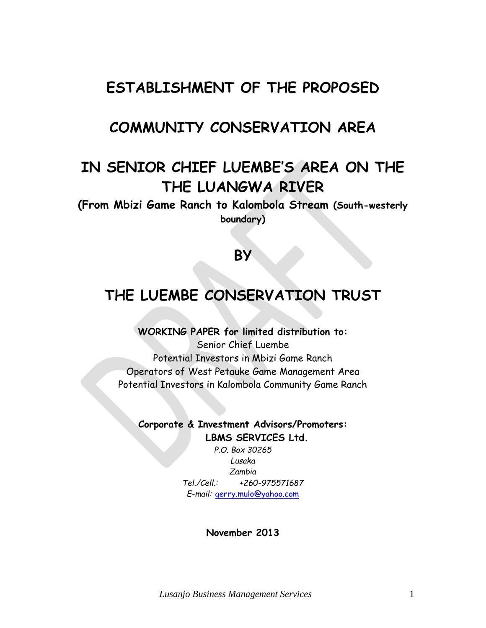# **ESTABLISHMENT OF THE PROPOSED**

## **COMMUNITY CONSERVATION AREA**

## **IN SENIOR CHIEF LUEMBE'S AREA ON THE THE LUANGWA RIVER**

**(From Mbizi Game Ranch to Kalombola Stream (South-westerly boundary)**

## **BY**

## **THE LUEMBE CONSERVATION TRUST**

**WORKING PAPER for limited distribution to:** Senior Chief Luembe Potential Investors in Mbizi Game Ranch Operators of West Petauke Game Management Area Potential Investors in Kalombola Community Game Ranch

**Corporate & Investment Advisors/Promoters: LBMS SERVICES Ltd.**

> *P.O. Box 30265 Lusaka Zambia Tel./Cell.: +260-975571687 E-mail:* [gerry.mulo@yahoo.com](mailto:gerry.mulo@yahoo.com)

## **November 2013**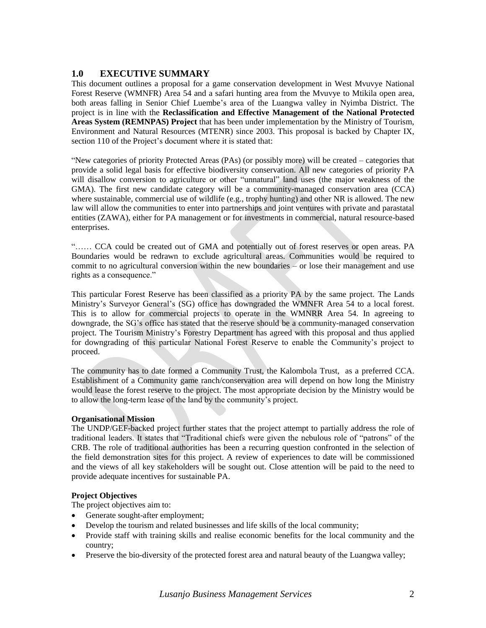## **1.0 EXECUTIVE SUMMARY**

This document outlines a proposal for a game conservation development in West Mvuvye National Forest Reserve (WMNFR) Area 54 and a safari hunting area from the Mvuvye to Mtikila open area, both areas falling in Senior Chief Luembe's area of the Luangwa valley in Nyimba District. The project is in line with the **Reclassification and Effective Management of the National Protected Areas System (REMNPAS) Project** that has been under implementation by the Ministry of Tourism, Environment and Natural Resources (MTENR) since 2003. This proposal is backed by Chapter IX, section 110 of the Project's document where it is stated that:

"New categories of priority Protected Areas (PAs) (or possibly more) will be created – categories that provide a solid legal basis for effective biodiversity conservation. All new categories of priority PA will disallow conversion to agriculture or other "unnatural" land uses (the major weakness of the GMA). The first new candidate category will be a community-managed conservation area (CCA) where sustainable, commercial use of wildlife (e.g., trophy hunting) and other NR is allowed. The new law will allow the communities to enter into partnerships and joint ventures with private and parastatal entities (ZAWA), either for PA management or for investments in commercial, natural resource-based enterprises.

"…… CCA could be created out of GMA and potentially out of forest reserves or open areas. PA Boundaries would be redrawn to exclude agricultural areas. Communities would be required to commit to no agricultural conversion within the new boundaries – or lose their management and use rights as a consequence."

This particular Forest Reserve has been classified as a priority PA by the same project. The Lands Ministry's Surveyor General's (SG) office has downgraded the WMNFR Area 54 to a local forest. This is to allow for commercial projects to operate in the WMNRR Area 54. In agreeing to downgrade, the SG's office has stated that the reserve should be a community-managed conservation project. The Tourism Ministry's Forestry Department has agreed with this proposal and thus applied for downgrading of this particular National Forest Reserve to enable the Community's project to proceed.

The community has to date formed a Community Trust, the Kalombola Trust, as a preferred CCA. Establishment of a Community game ranch/conservation area will depend on how long the Ministry would lease the forest reserve to the project. The most appropriate decision by the Ministry would be to allow the long-term lease of the land by the community's project.

## **Organisational Mission**

The UNDP/GEF-backed project further states that the project attempt to partially address the role of traditional leaders. It states that "Traditional chiefs were given the nebulous role of "patrons" of the CRB. The role of traditional authorities has been a recurring question confronted in the selection of the field demonstration sites for this project. A review of experiences to date will be commissioned and the views of all key stakeholders will be sought out. Close attention will be paid to the need to provide adequate incentives for sustainable PA.

## **Project Objectives**

The project objectives aim to:

- Generate sought-after employment;
- Develop the tourism and related businesses and life skills of the local community;
- Provide staff with training skills and realise economic benefits for the local community and the country;
- Preserve the bio-diversity of the protected forest area and natural beauty of the Luangwa valley;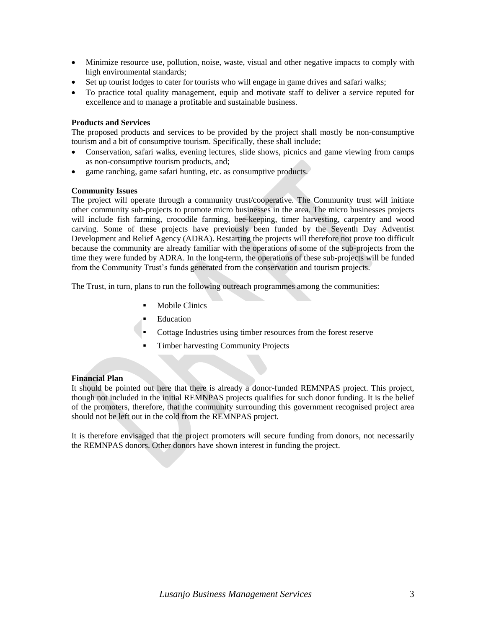- Minimize resource use, pollution, noise, waste, visual and other negative impacts to comply with high environmental standards;
- Set up tourist lodges to cater for tourists who will engage in game drives and safari walks;
- To practice total quality management, equip and motivate staff to deliver a service reputed for excellence and to manage a profitable and sustainable business.

#### **Products and Services**

The proposed products and services to be provided by the project shall mostly be non-consumptive tourism and a bit of consumptive tourism. Specifically, these shall include;

- Conservation, safari walks, evening lectures, slide shows, picnics and game viewing from camps as non-consumptive tourism products, and;
- game ranching, game safari hunting, etc. as consumptive products.

#### **Community Issues**

The project will operate through a community trust/cooperative. The Community trust will initiate other community sub-projects to promote micro businesses in the area. The micro businesses projects will include fish farming, crocodile farming, bee-keeping, timer harvesting, carpentry and wood carving. Some of these projects have previously been funded by the Seventh Day Adventist Development and Relief Agency (ADRA). Restarting the projects will therefore not prove too difficult because the community are already familiar with the operations of some of the sub-projects from the time they were funded by ADRA. In the long-term, the operations of these sub-projects will be funded from the Community Trust's funds generated from the conservation and tourism projects.

The Trust, in turn, plans to run the following outreach programmes among the communities:

- [Mobile Clinics](http://www.mpala.org/outreach/clinic.html)
- [Education](http://www.mpala.org/outreach/education.html)
- [Cottage Industries using timber resources from the forest reserve](http://www.mpala.org/outreach/cottage.html)
- Timber harvesting [Community Projects](http://www.mpala.org/outreach/communityprojects.html)

#### **Financial Plan**

It should be pointed out here that there is already a donor-funded REMNPAS project. This project, though not included in the initial REMNPAS projects qualifies for such donor funding. It is the belief of the promoters, therefore, that the community surrounding this government recognised project area should not be left out in the cold from the REMNPAS project.

It is therefore envisaged that the project promoters will secure funding from donors, not necessarily the REMNPAS donors. Other donors have shown interest in funding the project.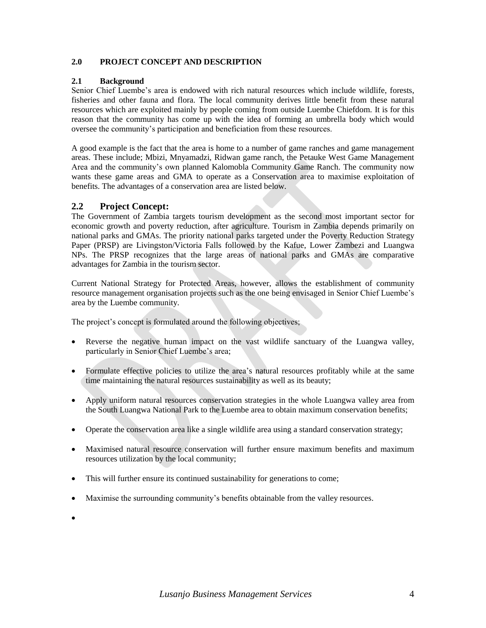## **2.0 PROJECT CONCEPT AND DESCRIPTION**

#### **2.1 Background**

Senior Chief Luembe's area is endowed with rich natural resources which include wildlife, forests, fisheries and other fauna and flora. The local community derives little benefit from these natural resources which are exploited mainly by people coming from outside Luembe Chiefdom. It is for this reason that the community has come up with the idea of forming an umbrella body which would oversee the community's participation and beneficiation from these resources.

A good example is the fact that the area is home to a number of game ranches and game management areas. These include; Mbizi, Mnyamadzi, Ridwan game ranch, the Petauke West Game Management Area and the community's own planned Kalomobla Community Game Ranch. The community now wants these game areas and GMA to operate as a Conservation area to maximise exploitation of benefits. The advantages of a conservation area are listed below.

## **2.2 Project Concept:**

The Government of Zambia targets tourism development as the second most important sector for economic growth and poverty reduction, after agriculture. Tourism in Zambia depends primarily on national parks and GMAs. The priority national parks targeted under the Poverty Reduction Strategy Paper (PRSP) are Livingston/Victoria Falls followed by the Kafue, Lower Zambezi and Luangwa NPs. The PRSP recognizes that the large areas of national parks and GMAs are comparative advantages for Zambia in the tourism sector.

Current National Strategy for Protected Areas, however, allows the establishment of community resource management organisation projects such as the one being envisaged in Senior Chief Luembe's area by the Luembe community.

The project's concept is formulated around the following objectives;

- Reverse the negative human impact on the vast wildlife sanctuary of the Luangwa valley, particularly in Senior Chief Luembe's area;
- Formulate effective policies to utilize the area's natural resources profitably while at the same time maintaining the natural resources sustainability as well as its beauty;
- Apply uniform natural resources conservation strategies in the whole Luangwa valley area from the South Luangwa National Park to the Luembe area to obtain maximum conservation benefits;
- Operate the conservation area like a single wildlife area using a standard conservation strategy;
- Maximised natural resource conservation will further ensure maximum benefits and maximum resources utilization by the local community;
- This will further ensure its continued sustainability for generations to come;
- Maximise the surrounding community's benefits obtainable from the valley resources.
- $\bullet$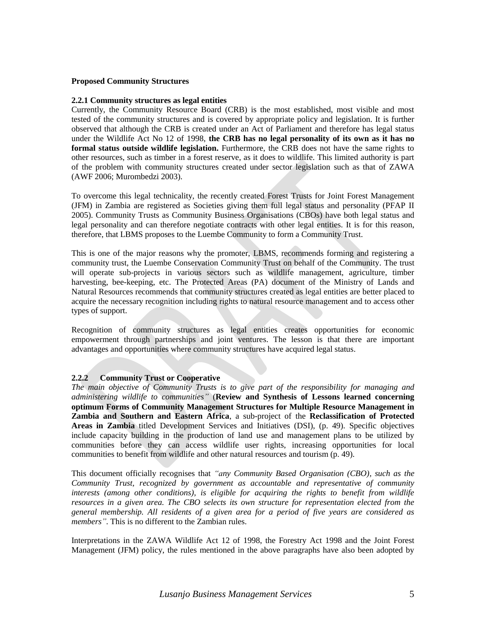#### **Proposed Community Structures**

#### **2.2.1 Community structures as legal entities**

Currently, the Community Resource Board (CRB) is the most established, most visible and most tested of the community structures and is covered by appropriate policy and legislation. It is further observed that although the CRB is created under an Act of Parliament and therefore has legal status under the Wildlife Act No 12 of 1998, **the CRB has no legal personality of its own as it has no formal status outside wildlife legislation.** Furthermore, the CRB does not have the same rights to other resources, such as timber in a forest reserve, as it does to wildlife. This limited authority is part of the problem with community structures created under sector legislation such as that of ZAWA (AWF 2006; Murombedzi 2003).

To overcome this legal technicality, the recently created Forest Trusts for Joint Forest Management (JFM) in Zambia are registered as Societies giving them full legal status and personality (PFAP II 2005). Community Trusts as Community Business Organisations (CBOs) have both legal status and legal personality and can therefore negotiate contracts with other legal entities. It is for this reason, therefore, that LBMS proposes to the Luembe Community to form a Community Trust.

This is one of the major reasons why the promoter, LBMS, recommends forming and registering a community trust, the Luembe Conservation Community Trust on behalf of the Community. The trust will operate sub-projects in various sectors such as wildlife management, agriculture, timber harvesting, bee-keeping, etc. The Protected Areas (PA) document of the Ministry of Lands and Natural Resources recommends that community structures created as legal entities are better placed to acquire the necessary recognition including rights to natural resource management and to access other types of support.

Recognition of community structures as legal entities creates opportunities for economic empowerment through partnerships and joint ventures. The lesson is that there are important advantages and opportunities where community structures have acquired legal status.

## **2.2.2 Community Trust or Cooperative**

*The main objective of Community Trusts is to give part of the responsibility for managing and administering wildlife to communities"* (**Review and Synthesis of Lessons learned concerning optimum Forms of Community Management Structures for Multiple Resource Management in Zambia and Southern and Eastern Africa**, a sub-project of the **Reclassification of Protected Areas in Zambia** titled Development Services and Initiatives (DSI), (p. 49). Specific objectives include capacity building in the production of land use and management plans to be utilized by communities before they can access wildlife user rights, increasing opportunities for local communities to benefit from wildlife and other natural resources and tourism (p. 49).

This document officially recognises that *"any Community Based Organisation (CBO), such as the Community Trust, recognized by government as accountable and representative of community interests (among other conditions), is eligible for acquiring the rights to benefit from wildlife resources in a given area. The CBO selects its own structure for representation elected from the general membership. All residents of a given area for a period of five years are considered as members"*. This is no different to the Zambian rules.

Interpretations in the ZAWA Wildlife Act 12 of 1998, the Forestry Act 1998 and the Joint Forest Management (JFM) policy, the rules mentioned in the above paragraphs have also been adopted by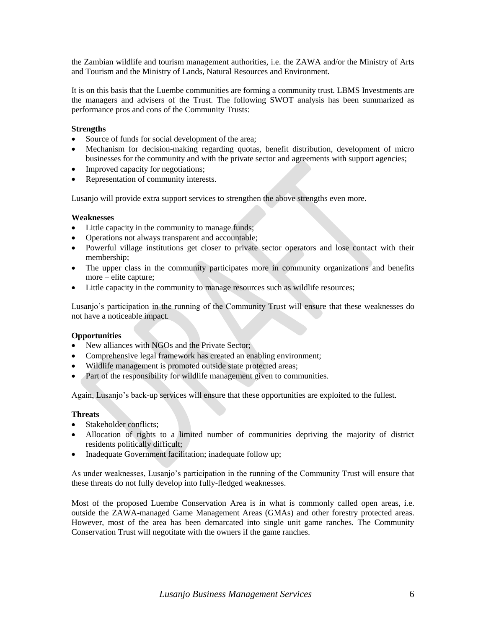the Zambian wildlife and tourism management authorities, i.e. the ZAWA and/or the Ministry of Arts and Tourism and the Ministry of Lands, Natural Resources and Environment.

It is on this basis that the Luembe communities are forming a community trust. LBMS Investments are the managers and advisers of the Trust. The following SWOT analysis has been summarized as performance pros and cons of the Community Trusts:

#### **Strengths**

- Source of funds for social development of the area;
- Mechanism for decision-making regarding quotas, benefit distribution, development of micro businesses for the community and with the private sector and agreements with support agencies;
- Improved capacity for negotiations;
- Representation of community interests.

Lusanjo will provide extra support services to strengthen the above strengths even more.

#### **Weaknesses**

- Little capacity in the community to manage funds;
- Operations not always transparent and accountable;
- Powerful village institutions get closer to private sector operators and lose contact with their membership;
- The upper class in the community participates more in community organizations and benefits more – elite capture;
- Little capacity in the community to manage resources such as wildlife resources;

Lusanjo's participation in the running of the Community Trust will ensure that these weaknesses do not have a noticeable impact.

#### **Opportunities**

- New alliances with NGOs and the Private Sector;
- Comprehensive legal framework has created an enabling environment;
- Wildlife management is promoted outside state protected areas;
- Part of the responsibility for wildlife management given to communities.

Again, Lusanjo's back-up services will ensure that these opportunities are exploited to the fullest.

#### **Threats**

- Stakeholder conflicts:
- Allocation of rights to a limited number of communities depriving the majority of district residents politically difficult;
- Inadequate Government facilitation; inadequate follow up;

As under weaknesses, Lusanjo's participation in the running of the Community Trust will ensure that these threats do not fully develop into fully-fledged weaknesses.

Most of the proposed Luembe Conservation Area is in what is commonly called open areas, i.e. outside the ZAWA-managed Game Management Areas (GMAs) and other forestry protected areas. However, most of the area has been demarcated into single unit game ranches. The Community Conservation Trust will negotitate with the owners if the game ranches.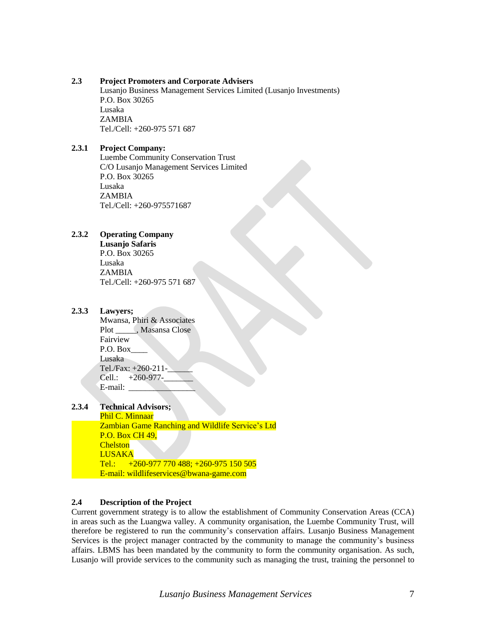## **2.3 Project Promoters and Corporate Advisers**

Lusanjo Business Management Services Limited (Lusanjo Investments) P.O. Box 30265 Lusaka ZAMBIA Tel./Cell: +260-975 571 687

## **2.3.1 Project Company:**

Luembe Community Conservation Trust C/O Lusanjo Management Services Limited P.O. Box 30265 Lusaka ZAMBIA Tel./Cell: +260-975571687

## **2.3.2 Operating Company**

**Lusanjo Safaris** P.O. Box 30265 Lusaka ZAMBIA Tel./Cell: +260-975 571 687

## **2.3.3 Lawyers;**

Mwansa, Phiri & Associates Plot **Allen Masansa Close** Fairview P.O. Box\_\_\_\_ Lusaka Tel./Fax: +260-211-\_\_\_\_\_\_ Cell.: +260-977-E-mail: \_\_\_\_\_\_\_\_\_\_\_\_\_\_\_\_

## **2.3.4 Technical Advisors;**

Phil C. Minnaar Zambian Game Ranching and Wildlife Service's Ltd P.O. Box CH 49, **Chelston** LUSAKA Tel.:  $+260-977770488$ ;  $+260-975150505$ E-mail: wildlifeservices@bwana-game.com

## **2.4 Description of the Project**

Current government strategy is to allow the establishment of Community Conservation Areas (CCA) in areas such as the Luangwa valley. A community organisation, the Luembe Community Trust, will therefore be registered to run the community's conservation affairs. Lusanjo Business Management Services is the project manager contracted by the community to manage the community's business affairs. LBMS has been mandated by the community to form the community organisation. As such, Lusanjo will provide services to the community such as managing the trust, training the personnel to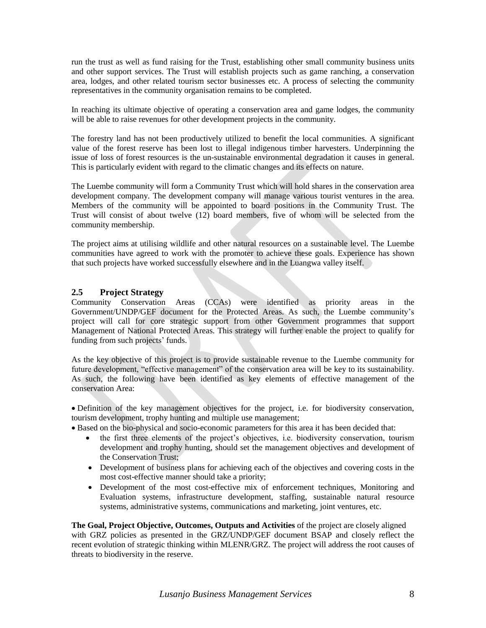run the trust as well as fund raising for the Trust, establishing other small community business units and other support services. The Trust will establish projects such as game ranching, a conservation area, lodges, and other related tourism sector businesses etc. A process of selecting the community representatives in the community organisation remains to be completed.

In reaching its ultimate objective of operating a conservation area and game lodges, the community will be able to raise revenues for other development projects in the community.

The forestry land has not been productively utilized to benefit the local communities. A significant value of the forest reserve has been lost to illegal indigenous timber harvesters. Underpinning the issue of loss of forest resources is the un-sustainable environmental degradation it causes in general. This is particularly evident with regard to the climatic changes and its effects on nature.

The Luembe community will form a Community Trust which will hold shares in the conservation area development company. The development company will manage various tourist ventures in the area. Members of the community will be appointed to board positions in the Community Trust. The Trust will consist of about twelve (12) board members, five of whom will be selected from the community membership.

The project aims at utilising wildlife and other natural resources on a sustainable level. The Luembe communities have agreed to work with the promoter to achieve these goals. Experience has shown that such projects have worked successfully elsewhere and in the Luangwa valley itself.

## **2.5 Project Strategy**

Community Conservation Areas (CCAs) were identified as priority areas in the Government/UNDP/GEF document for the Protected Areas. As such, the Luembe community's project will call for core strategic support from other Government programmes that support Management of National Protected Areas. This strategy will further enable the project to qualify for funding from such projects' funds.

As the key objective of this project is to provide sustainable revenue to the Luembe community for future development, "effective management" of the conservation area will be key to its sustainability. As such, the following have been identified as key elements of effective management of the conservation Area:

 Definition of the key management objectives for the project, i.e. for biodiversity conservation, tourism development, trophy hunting and multiple use management;

Based on the bio-physical and socio-economic parameters for this area it has been decided that:

- the first three elements of the project's objectives, i.e. biodiversity conservation, tourism development and trophy hunting, should set the management objectives and development of the Conservation Trust;
- Development of business plans for achieving each of the objectives and covering costs in the most cost-effective manner should take a priority;
- Development of the most cost-effective mix of enforcement techniques, Monitoring and Evaluation systems, infrastructure development, staffing, sustainable natural resource systems, administrative systems, communications and marketing, joint ventures, etc.

**The Goal, Project Objective, Outcomes, Outputs and Activities** of the project are closely aligned with GRZ policies as presented in the GRZ/UNDP/GEF document BSAP and closely reflect the recent evolution of strategic thinking within MLENR/GRZ. The project will address the root causes of threats to biodiversity in the reserve.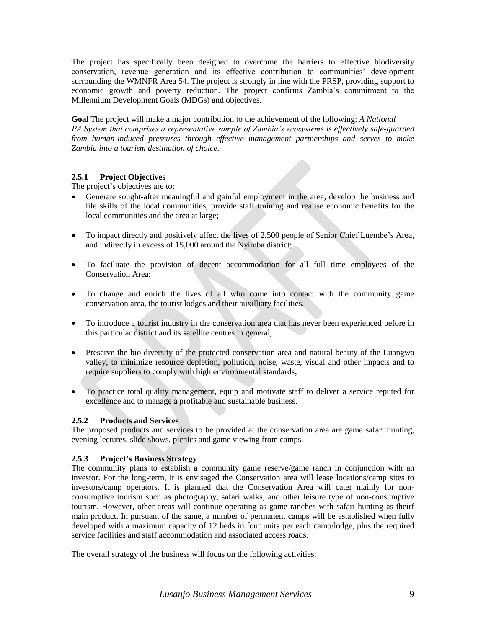The project has specifically been designed to overcome the barriers to effective biodiversity conservation, revenue generation and its effective contribution to communities' development surrounding the WMNFR Area 54. The project is strongly in line with the PRSP, providing support to economic growth and poverty reduction. The project confirms Zambia's commitment to the Millennium Development Goals (MDGs) and objectives.

**Goal** The project will make a major contribution to the achievement of the following: *A National PA System that comprises a representative sample of Zambia's ecosystems is effectively safe-guarded from human-induced pressures through effective management partnerships and serves to make Zambia into a tourism destination of choice.*

## **2.5.1 Project Objectives**

The project's objectives are to:

- Generate sought-after meaningful and gainful employment in the area, develop the business and life skills of the local communities, provide staff training and realise economic benefits for the local communities and the area at large;
- To impact directly and positively affect the lives of 2,500 people of Senior Chief Luembe's Area, and indirectly in excess of 15,000 around the Nyimba district;
- To facilitate the provision of decent accommodation for all full time employees of the Conservation Area;
- To change and enrich the lives of all who come into contact with the community game conservation area, the tourist lodges and their auxilliary facilities.
- To introduce a tourist industry in the conservation area that has never been experienced before in this particular district and its satellite centres in general;
- Preserve the bio-diversity of the protected conservation area and natural beauty of the Luangwa valley, to minimize resource depletion, pollution, noise, waste, visual and other impacts and to require suppliers to comply with high environmental standards;
- To practice total quality management, equip and motivate staff to deliver a service reputed for excellence and to manage a profitable and sustainable business.

## **2.5.2 Products and Services**

The proposed products and services to be provided at the conservation area are game safari hunting, evening lectures, slide shows, picnics and game viewing from camps.

## **2.5.3 Project's Business Strategy**

The community plans to establish a community game reserve/game ranch in conjunction with an investor. For the long-term, it is envisaged the Conservation area will lease locations/camp sites to investors/camp operators. It is planned that the Conservation Area will cater mainly for nonconsumptive tourism such as photography, safari walks, and other leisure type of non-consumptive tourism. However, other areas will continue operating as game ranches with safari hunting as theirf main product. In pursuant of the same, a number of permanent camps will be established when fully developed with a maximum capacity of 12 beds in four units per each camp/lodge, plus the required service facilities and staff accommodation and associated access roads.

The overall strategy of the business will focus on the following activities: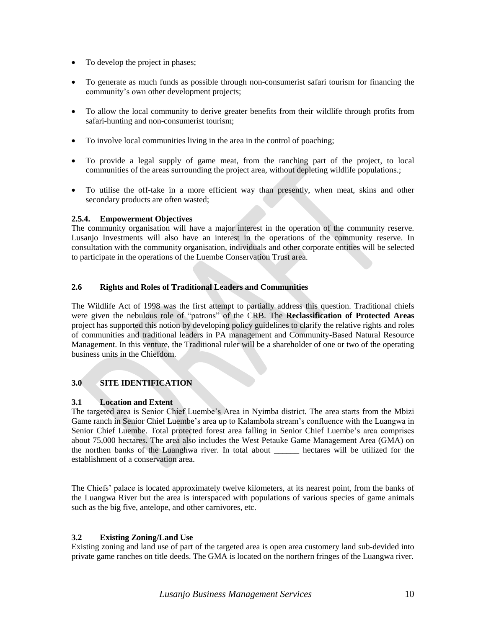- To develop the project in phases;
- To generate as much funds as possible through non-consumerist safari tourism for financing the community's own other development projects;
- To allow the local community to derive greater benefits from their wildlife through profits from safari-hunting and non-consumerist tourism;
- To involve local communities living in the area in the control of poaching;
- To provide a legal supply of game meat, from the ranching part of the project, to local communities of the areas surrounding the project area, without depleting wildlife populations.;
- To utilise the off-take in a more efficient way than presently, when meat, skins and other secondary products are often wasted;

## **2.5.4. Empowerment Objectives**

The community organisation will have a major interest in the operation of the community reserve. Lusanjo Investments will also have an interest in the operations of the community reserve. In consultation with the community organisation, individuals and other corporate entities will be selected to participate in the operations of the Luembe Conservation Trust area.

## **2.6 Rights and Roles of Traditional Leaders and Communities**

The Wildlife Act of 1998 was the first attempt to partially address this question. Traditional chiefs were given the nebulous role of "patrons" of the CRB. The **Reclassification of Protected Areas** project has supported this notion by developing policy guidelines to clarify the relative rights and roles of communities and traditional leaders in PA management and Community-Based Natural Resource Management. In this venture, the Traditional ruler will be a shareholder of one or two of the operating business units in the Chiefdom.

## **3.0 SITE IDENTIFICATION**

## **3.1 Location and Extent**

The targeted area is Senior Chief Luembe's Area in Nyimba district. The area starts from the Mbizi Game ranch in Senior Chief Luembe's area up to Kalambola stream's confluence with the Luangwa in Senior Chief Luembe. Total protected forest area falling in Senior Chief Luembe's area comprises about 75,000 hectares. The area also includes the West Petauke Game Management Area (GMA) on the northen banks of the Luanghwa river. In total about \_\_\_\_\_\_ hectares will be utilized for the establishment of a conservation area.

The Chiefs' palace is located approximately twelve kilometers, at its nearest point, from the banks of the Luangwa River but the area is interspaced with populations of various species of game animals such as the big five, antelope, and other carnivores, etc.

#### **3.2 Existing Zoning/Land Use**

Existing zoning and land use of part of the targeted area is open area customery land sub-devided into private game ranches on title deeds. The GMA is located on the northern fringes of the Luangwa river.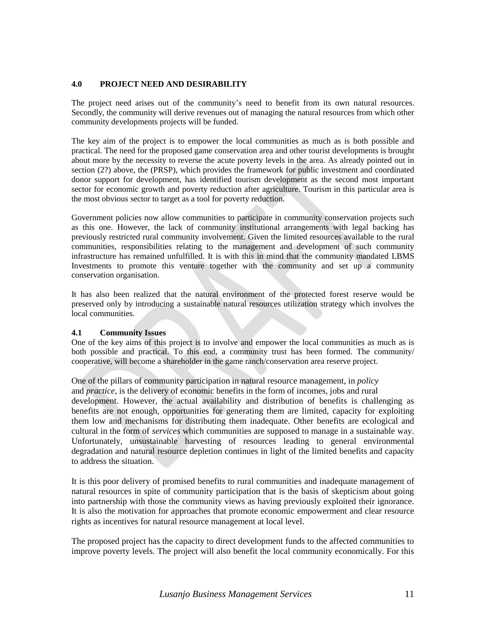#### **4.0 PROJECT NEED AND DESIRABILITY**

The project need arises out of the community's need to benefit from its own natural resources. Secondly, the community will derive revenues out of managing the natural resources from which other community developments projects will be funded.

The key aim of the project is to empower the local communities as much as is both possible and practical. The need for the proposed game conservation area and other tourist developments is brought about more by the necessity to reverse the acute poverty levels in the area. As already pointed out in section (2?) above, the (PRSP), which provides the framework for public investment and coordinated donor support for development, has identified tourism development as the second most important sector for economic growth and poverty reduction after agriculture. Tourism in this particular area is the most obvious sector to target as a tool for poverty reduction.

Government policies now allow communities to participate in community conservation projects such as this one. However, the lack of community institutional arrangements with legal backing has previously restricted rural community involvement. Given the limited resources available to the rural communities, responsibilities relating to the management and development of such community infrastructure has remained unfulfilled. It is with this in mind that the community mandated LBMS Investments to promote this venture together with the community and set up a community conservation organisation.

It has also been realized that the natural environment of the protected forest reserve would be preserved only by introducing a sustainable natural resources utilization strategy which involves the local communities.

#### **4.1 Community Issues**

One of the key aims of this project is to involve and empower the local communities as much as is both possible and practical. To this end, a community trust has been formed. The community/ cooperative, will become a shareholder in the game ranch/conservation area reserve project.

One of the pillars of community participation in natural resource management, in *policy* and *practice*, is the delivery of economic benefits in the form of incomes, jobs and rural development. However, the actual availability and distribution of benefits is challenging as benefits are not enough, opportunities for generating them are limited, capacity for exploiting them low and mechanisms for distributing them inadequate. Other benefits are ecological and cultural in the form of *services* which communities are supposed to manage in a sustainable way. Unfortunately, unsustainable harvesting of resources leading to general environmental degradation and natural resource depletion continues in light of the limited benefits and capacity to address the situation.

It is this poor delivery of promised benefits to rural communities and inadequate management of natural resources in spite of community participation that is the basis of skepticism about going into partnership with those the community views as having previously exploited their ignorance. It is also the motivation for approaches that promote economic empowerment and clear resource rights as incentives for natural resource management at local level.

The proposed project has the capacity to direct development funds to the affected communities to improve poverty levels. The project will also benefit the local community economically. For this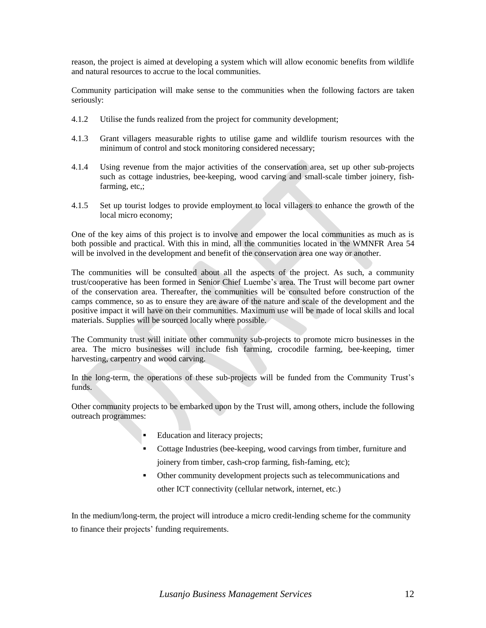reason, the project is aimed at developing a system which will allow economic benefits from wildlife and natural resources to accrue to the local communities.

Community participation will make sense to the communities when the following factors are taken seriously:

- 4.1.2 Utilise the funds realized from the project for community development;
- 4.1.3 Grant villagers measurable rights to utilise game and wildlife tourism resources with the minimum of control and stock monitoring considered necessary;
- 4.1.4 Using revenue from the major activities of the conservation area, set up other sub-projects such as cottage industries, bee-keeping, wood carving and small-scale timber joinery, fishfarming, etc.;
- 4.1.5 Set up tourist lodges to provide employment to local villagers to enhance the growth of the local micro economy;

One of the key aims of this project is to involve and empower the local communities as much as is both possible and practical. With this in mind, all the communities located in the WMNFR Area 54 will be involved in the development and benefit of the conservation area one way or another.

The communities will be consulted about all the aspects of the project. As such, a community trust/cooperative has been formed in Senior Chief Luembe's area. The Trust will become part owner of the conservation area. Thereafter, the communities will be consulted before construction of the camps commence, so as to ensure they are aware of the nature and scale of the development and the positive impact it will have on their communities. Maximum use will be made of local skills and local materials. Supplies will be sourced locally where possible.

The Community trust will initiate other community sub-projects to promote micro businesses in the area. The micro businesses will include fish farming, crocodile farming, bee-keeping, timer harvesting, carpentry and wood carving.

In the long-term, the operations of these sub-projects will be funded from the Community Trust's funds.

Other community projects to be embarked upon by the Trust will, among others, include the following outreach programmes:

- [Education](http://www.mpala.org/outreach/education.html) and literacy projects;
- [Cottage Industries](http://www.mpala.org/outreach/cottage.html) (bee-keeping, wood carvings from timber, furniture and joinery from timber, cash-crop farming, fish-faming, etc);
- Othe[r co](http://www.mpala.org/outreach/communityprojects.html)mmunity development projects such as telecommunications and other ICT connectivity (cellular network, internet, etc.)

In the medium/long-term, the project will introduce a micro credit-lending scheme for the community to finance their projects' funding requirements.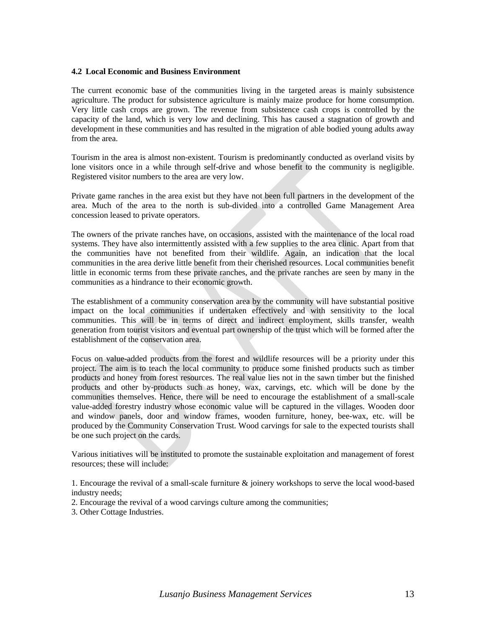#### **4.2 Local Economic and Business Environment**

The current economic base of the communities living in the targeted areas is mainly subsistence agriculture. The product for subsistence agriculture is mainly maize produce for home consumption. Very little cash crops are grown. The revenue from subsistence cash crops is controlled by the capacity of the land, which is very low and declining. This has caused a stagnation of growth and development in these communities and has resulted in the migration of able bodied young adults away from the area.

Tourism in the area is almost non-existent. Tourism is predominantly conducted as overland visits by lone visitors once in a while through self-drive and whose benefit to the community is negligible. Registered visitor numbers to the area are very low.

Private game ranches in the area exist but they have not been full partners in the development of the area. Much of the area to the north is sub-divided into a controlled Game Management Area concession leased to private operators.

The owners of the private ranches have, on occasions, assisted with the maintenance of the local road systems. They have also intermittently assisted with a few supplies to the area clinic. Apart from that the communities have not benefited from their wildlife. Again, an indication that the local communities in the area derive little benefit from their cherished resources. Local communities benefit little in economic terms from these private ranches, and the private ranches are seen by many in the communities as a hindrance to their economic growth.

The establishment of a community conservation area by the community will have substantial positive impact on the local communities if undertaken effectively and with sensitivity to the local communities. This will be in terms of direct and indirect employment, skills transfer, wealth generation from tourist visitors and eventual part ownership of the trust which will be formed after the establishment of the conservation area.

Focus on value-added products from the forest and wildlife resources will be a priority under this project. The aim is to teach the local community to produce some finished products such as timber products and honey from forest resources. The real value lies not in the sawn timber but the finished products and other by-products such as honey, wax, carvings, etc. which will be done by the communities themselves. Hence, there will be need to encourage the establishment of a small-scale value-added forestry industry whose economic value will be captured in the villages. Wooden door and window panels, door and window frames, wooden furniture, honey, bee-wax, etc. will be produced by the Community Conservation Trust. Wood carvings for sale to the expected tourists shall be one such project on the cards.

Various initiatives will be instituted to promote the sustainable exploitation and management of forest resources; these will include:

1. Encourage the revival of a small-scale furniture & joinery workshops to serve the local wood-based industry needs;

2. Encourage the revival of a wood carvings culture among the communities;

3. Other Cottage Industries.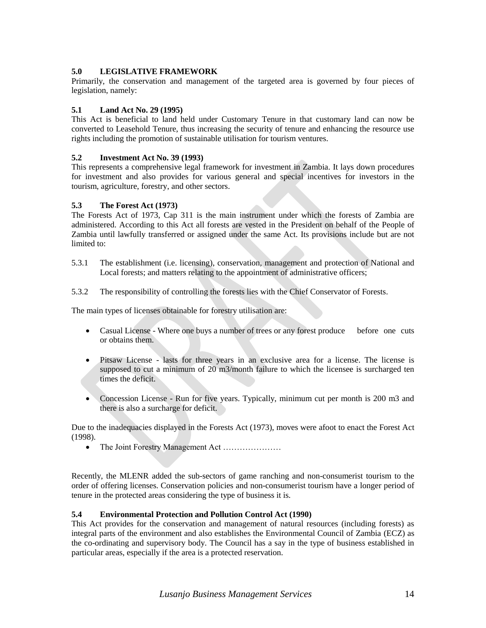## **5.0 LEGISLATIVE FRAMEWORK**

Primarily, the conservation and management of the targeted area is governed by four pieces of legislation, namely:

## **5.1 Land Act No. 29 (1995)**

This Act is beneficial to land held under Customary Tenure in that customary land can now be converted to Leasehold Tenure, thus increasing the security of tenure and enhancing the resource use rights including the promotion of sustainable utilisation for tourism ventures.

#### **5.2 Investment Act No. 39 (1993)**

This represents a comprehensive legal framework for investment in Zambia. It lays down procedures for investment and also provides for various general and special incentives for investors in the tourism, agriculture, forestry, and other sectors.

#### **5.3 The Forest Act (1973)**

The Forests Act of 1973, Cap 311 is the main instrument under which the forests of Zambia are administered. According to this Act all forests are vested in the President on behalf of the People of Zambia until lawfully transferred or assigned under the same Act. Its provisions include but are not limited to:

- 5.3.1 The establishment (i.e. licensing), conservation, management and protection of National and Local forests; and matters relating to the appointment of administrative officers;
- 5.3.2 The responsibility of controlling the forests lies with the Chief Conservator of Forests.

The main types of licenses obtainable for forestry utilisation are:

- Casual License Where one buys a number of trees or any forest produce before one cuts or obtains them.
- Pitsaw License lasts for three years in an exclusive area for a license. The license is supposed to cut a minimum of 20 m3/month failure to which the licensee is surcharged ten times the deficit.
- Concession License Run for five years. Typically, minimum cut per month is 200 m3 and there is also a surcharge for deficit.

Due to the inadequacies displayed in the Forests Act (1973), moves were afoot to enact the Forest Act (1998).

The Joint Forestry Management Act …………………

Recently, the MLENR added the sub-sectors of game ranching and non-consumerist tourism to the order of offering licenses. Conservation policies and non-consumerist tourism have a longer period of tenure in the protected areas considering the type of business it is.

## **5.4 Environmental Protection and Pollution Control Act (1990)**

This Act provides for the conservation and management of natural resources (including forests) as integral parts of the environment and also establishes the Environmental Council of Zambia (ECZ) as the co-ordinating and supervisory body. The Council has a say in the type of business established in particular areas, especially if the area is a protected reservation.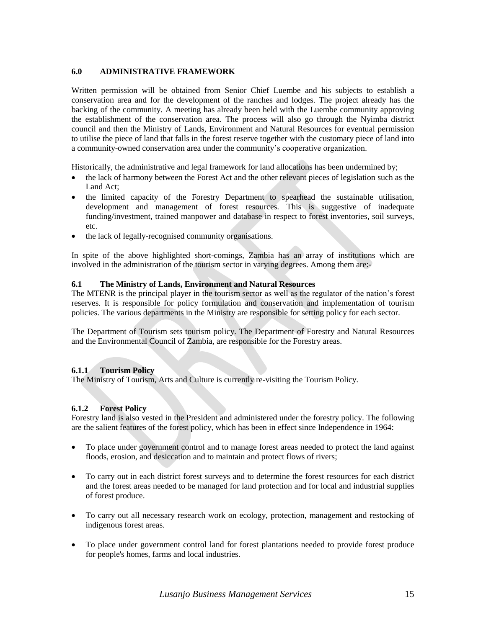## **6.0 ADMINISTRATIVE FRAMEWORK**

Written permission will be obtained from Senior Chief Luembe and his subjects to establish a conservation area and for the development of the ranches and lodges. The project already has the backing of the community. A meeting has already been held with the Luembe community approving the establishment of the conservation area. The process will also go through the Nyimba district council and then the Ministry of Lands, Environment and Natural Resources for eventual permission to utilise the piece of land that falls in the forest reserve together with the customary piece of land into a community-owned conservation area under the community's cooperative organization.

Historically, the administrative and legal framework for land allocations has been undermined by;

- the lack of harmony between the Forest Act and the other relevant pieces of legislation such as the Land Act:
- the limited capacity of the Forestry Department to spearhead the sustainable utilisation, development and management of forest resources. This is suggestive of inadequate funding/investment, trained manpower and database in respect to forest inventories, soil surveys, etc.
- the lack of legally-recognised community organisations.

In spite of the above highlighted short-comings, Zambia has an array of institutions which are involved in the administration of the tourism sector in varying degrees. Among them are:-

## **6.1 The Ministry of Lands, Environment and Natural Resources**

The MTENR is the principal player in the tourism sector as well as the regulator of the nation's forest reserves. It is responsible for policy formulation and conservation and implementation of tourism policies. The various departments in the Ministry are responsible for setting policy for each sector.

The Department of Tourism sets tourism policy. The Department of Forestry and Natural Resources and the Environmental Council of Zambia, are responsible for the Forestry areas.

## **6.1.1 Tourism Policy**

The Ministry of Tourism, Arts and Culture is currently re-visiting the Tourism Policy.

## **6.1.2 Forest Policy**

Forestry land is also vested in the President and administered under the forestry policy. The following are the salient features of the forest policy, which has been in effect since Independence in 1964:

- To place under government control and to manage forest areas needed to protect the land against floods, erosion, and desiccation and to maintain and protect flows of rivers;
- To carry out in each district forest surveys and to determine the forest resources for each district and the forest areas needed to be managed for land protection and for local and industrial supplies of forest produce.
- To carry out all necessary research work on ecology, protection, management and restocking of indigenous forest areas.
- To place under government control land for forest plantations needed to provide forest produce for people's homes, farms and local industries.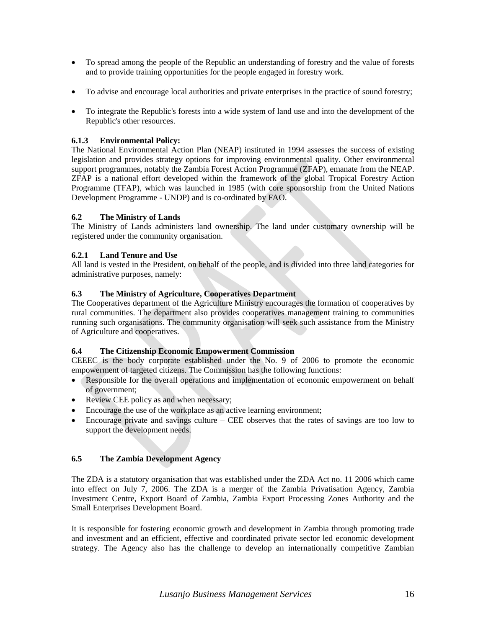- To spread among the people of the Republic an understanding of forestry and the value of forests and to provide training opportunities for the people engaged in forestry work.
- To advise and encourage local authorities and private enterprises in the practice of sound forestry;
- To integrate the Republic's forests into a wide system of land use and into the development of the Republic's other resources.

## **6.1.3 Environmental Policy:**

The National Environmental Action Plan (NEAP) instituted in 1994 assesses the success of existing legislation and provides strategy options for improving environmental quality. Other environmental support programmes, notably the Zambia Forest Action Programme (ZFAP), emanate from the NEAP. ZFAP is a national effort developed within the framework of the global Tropical Forestry Action Programme (TFAP), which was launched in 1985 (with core sponsorship from the United Nations Development Programme - UNDP) and is co-ordinated by FAO.

## **6.2 The Ministry of Lands**

The Ministry of Lands administers land ownership. The land under customary ownership will be registered under the community organisation.

## **6.2.1 Land Tenure and Use**

All land is vested in the President, on behalf of the people, and is divided into three land categories for administrative purposes, namely:

## **6.3 The Ministry of Agriculture, Cooperatives Department**

The Cooperatives department of the Agriculture Ministry encourages the formation of cooperatives by rural communities. The department also provides cooperatives management training to communities running such organisations. The community organisation will seek such assistance from the Ministry of Agriculture and cooperatives.

## **6.4 The Citizenship Economic Empowerment Commission**

CEEEC is the body corporate established under the No. 9 of 2006 to promote the economic empowerment of targeted citizens. The Commission has the following functions:

- Responsible for the overall operations and implementation of economic empowerment on behalf of government;
- Review CEE policy as and when necessary;
- Encourage the use of the workplace as an active learning environment;
- Encourage private and savings culture CEE observes that the rates of savings are too low to support the development needs.

## **6.5 The Zambia Development Agency**

The ZDA is a statutory organisation that was established under the ZDA Act no. 11 2006 which came into effect on July 7, 2006. The ZDA is a merger of the Zambia Privatisation Agency, Zambia Investment Centre, Export Board of Zambia, Zambia Export Processing Zones Authority and the Small Enterprises Development Board.

It is responsible for fostering economic growth and development in Zambia through promoting trade and investment and an efficient, effective and coordinated private sector led economic development strategy. The Agency also has the challenge to develop an internationally competitive Zambian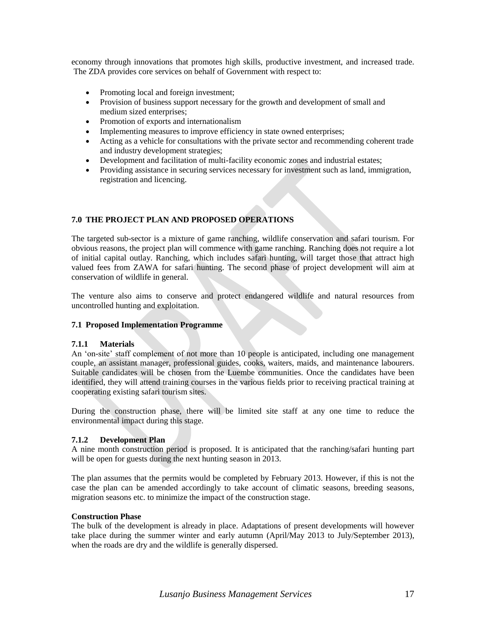economy through innovations that promotes high skills, productive investment, and increased trade. The ZDA provides core services on behalf of Government with respect to:

- Promoting local and foreign investment;
- Provision of business support necessary for the growth and development of small and medium sized enterprises;
- Promotion of exports and internationalism
- Implementing measures to improve efficiency in state owned enterprises;
- Acting as a vehicle for consultations with the private sector and recommending coherent trade and industry development strategies;
- Development and facilitation of multi-facility economic zones and industrial estates;
- Providing assistance in securing services necessary for investment such as land, immigration, registration and licencing.

## **7.0 THE PROJECT PLAN AND PROPOSED OPERATIONS**

The targeted sub-sector is a mixture of game ranching, wildlife conservation and safari tourism. For obvious reasons, the project plan will commence with game ranching. Ranching does not require a lot of initial capital outlay. Ranching, which includes safari hunting, will target those that attract high valued fees from ZAWA for safari hunting. The second phase of project development will aim at conservation of wildlife in general.

The venture also aims to conserve and protect endangered wildlife and natural resources from uncontrolled hunting and exploitation.

#### **7.1 Proposed Implementation Programme**

#### **7.1.1 Materials**

An 'on-site' staff complement of not more than 10 people is anticipated, including one management couple, an assistant manager, professional guides, cooks, waiters, maids, and maintenance labourers. Suitable candidates will be chosen from the Luembe communities. Once the candidates have been identified, they will attend training courses in the various fields prior to receiving practical training at cooperating existing safari tourism sites.

During the construction phase, there will be limited site staff at any one time to reduce the environmental impact during this stage.

#### **7.1.2 Development Plan**

A nine month construction period is proposed. It is anticipated that the ranching/safari hunting part will be open for guests during the next hunting season in 2013.

The plan assumes that the permits would be completed by February 2013. However, if this is not the case the plan can be amended accordingly to take account of climatic seasons, breeding seasons, migration seasons etc. to minimize the impact of the construction stage.

#### **Construction Phase**

The bulk of the development is already in place. Adaptations of present developments will however take place during the summer winter and early autumn (April/May 2013 to July/September 2013), when the roads are dry and the wildlife is generally dispersed.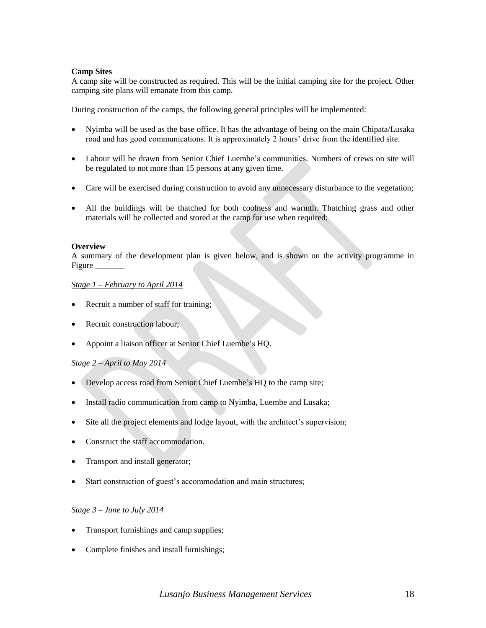#### **Camp Sites**

A camp site will be constructed as required. This will be the initial camping site for the project. Other camping site plans will emanate from this camp.

During construction of the camps, the following general principles will be implemented:

- Nyimba will be used as the base office. It has the advantage of being on the main Chipata/Lusaka road and has good communications. It is approximately 2 hours' drive from the identified site.
- Labour will be drawn from Senior Chief Luembe's communities. Numbers of crews on site will be regulated to not more than 15 persons at any given time.
- Care will be exercised during construction to avoid any unnecessary disturbance to the vegetation;
- All the buildings will be thatched for both coolness and warmth. Thatching grass and other materials will be collected and stored at the camp for use when required;

#### **Overview**

A summary of the development plan is given below, and is shown on the activity programme in Figure

#### *Stage 1 – February to April 2014*

- Recruit a number of staff for training;
- Recruit construction labour;
- Appoint a liaison officer at Senior Chief Luembe's HQ.

## *Stage 2 – April to May 2014*

- Develop access road from Senior Chief Luembe's HQ to the camp site;
- Install radio communication from camp to Nyimba, Luembe and Lusaka;
- Site all the project elements and lodge layout, with the architect's supervision;
- Construct the staff accommodation.
- Transport and install generator;
- Start construction of guest's accommodation and main structures;

## *Stage 3 – June to July 2014*

- Transport furnishings and camp supplies;
- Complete finishes and install furnishings;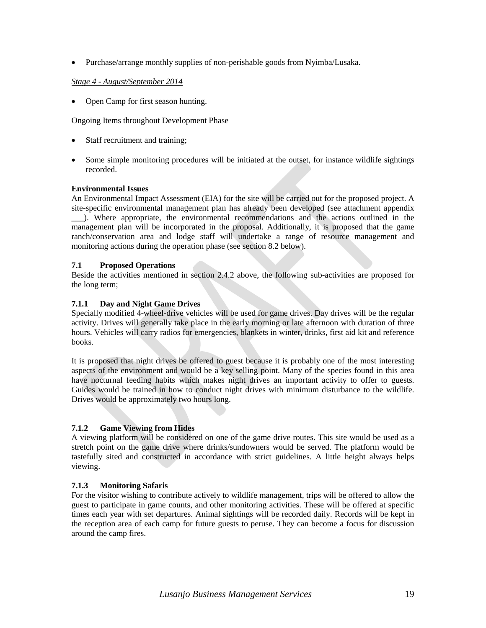Purchase/arrange monthly supplies of non-perishable goods from Nyimba/Lusaka.

## *Stage 4 - August/September 2014*

• Open Camp for first season hunting.

Ongoing Items throughout Development Phase

- Staff recruitment and training;
- Some simple monitoring procedures will be initiated at the outset, for instance wildlife sightings recorded.

## **Environmental Issues**

An Environmental Impact Assessment (EIA) for the site will be carried out for the proposed project. A site-specific environmental management plan has already been developed (see attachment appendix \_\_\_). Where appropriate, the environmental recommendations and the actions outlined in the management plan will be incorporated in the proposal. Additionally, it is proposed that the game ranch/conservation area and lodge staff will undertake a range of resource management and monitoring actions during the operation phase (see section 8.2 below).

## **7.1 Proposed Operations**

Beside the activities mentioned in section 2.4.2 above, the following sub-activities are proposed for the long term;

## **7.1.1 Day and Night Game Drives**

Specially modified 4-wheel-drive vehicles will be used for game drives. Day drives will be the regular activity. Drives will generally take place in the early morning or late afternoon with duration of three hours. Vehicles will carry radios for emergencies, blankets in winter, drinks, first aid kit and reference books.

It is proposed that night drives be offered to guest because it is probably one of the most interesting aspects of the environment and would be a key selling point. Many of the species found in this area have nocturnal feeding habits which makes night drives an important activity to offer to guests. Guides would be trained in how to conduct night drives with minimum disturbance to the wildlife. Drives would be approximately two hours long.

## **7.1.2 Game Viewing from Hides**

A viewing platform will be considered on one of the game drive routes. This site would be used as a stretch point on the game drive where drinks/sundowners would be served. The platform would be tastefully sited and constructed in accordance with strict guidelines. A little height always helps viewing.

## **7.1.3 Monitoring Safaris**

For the visitor wishing to contribute actively to wildlife management, trips will be offered to allow the guest to participate in game counts, and other monitoring activities. These will be offered at specific times each year with set departures. Animal sightings will be recorded daily. Records will be kept in the reception area of each camp for future guests to peruse. They can become a focus for discussion around the camp fires.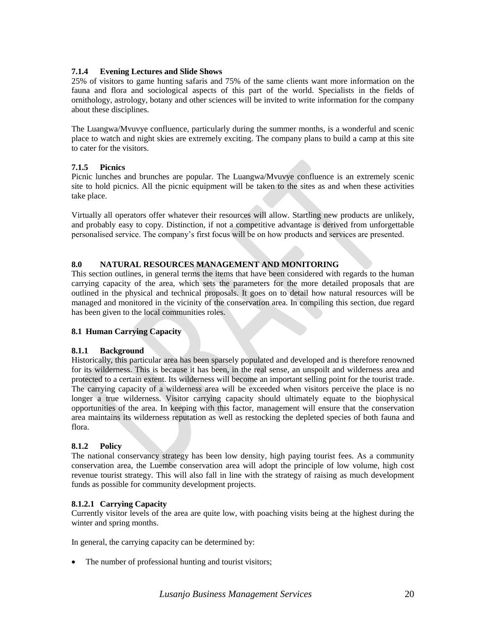## **7.1.4 Evening Lectures and Slide Shows**

25% of visitors to game hunting safaris and 75% of the same clients want more information on the fauna and flora and sociological aspects of this part of the world. Specialists in the fields of ornithology, astrology, botany and other sciences will be invited to write information for the company about these disciplines.

The Luangwa/Mvuvye confluence, particularly during the summer months, is a wonderful and scenic place to watch and night skies are extremely exciting. The company plans to build a camp at this site to cater for the visitors.

## **7.1.5 Picnics**

Picnic lunches and brunches are popular. The Luangwa/Mvuvye confluence is an extremely scenic site to hold picnics. All the picnic equipment will be taken to the sites as and when these activities take place.

Virtually all operators offer whatever their resources will allow. Startling new products are unlikely, and probably easy to copy. Distinction, if not a competitive advantage is derived from unforgettable personalised service. The company's first focus will be on how products and services are presented.

## **8.0 NATURAL RESOURCES MANAGEMENT AND MONITORING**

This section outlines, in general terms the items that have been considered with regards to the human carrying capacity of the area, which sets the parameters for the more detailed proposals that are outlined in the physical and technical proposals. It goes on to detail how natural resources will be managed and monitored in the vicinity of the conservation area. In compiling this section, due regard has been given to the local communities roles.

## **8.1 Human Carrying Capacity**

## **8.1.1 Background**

Historically, this particular area has been sparsely populated and developed and is therefore renowned for its wilderness. This is because it has been, in the real sense, an unspoilt and wilderness area and protected to a certain extent. Its wilderness will become an important selling point for the tourist trade. The carrying capacity of a wilderness area will be exceeded when visitors perceive the place is no longer a true wilderness. Visitor carrying capacity should ultimately equate to the biophysical opportunities of the area. In keeping with this factor, management will ensure that the conservation area maintains its wilderness reputation as well as restocking the depleted species of both fauna and flora.

## **8.1.2 Policy**

The national conservancy strategy has been low density, high paying tourist fees. As a community conservation area, the Luembe conservation area will adopt the principle of low volume, high cost revenue tourist strategy. This will also fall in line with the strategy of raising as much development funds as possible for community development projects.

## **8.1.2.1 Carrying Capacity**

Currently visitor levels of the area are quite low, with poaching visits being at the highest during the winter and spring months.

In general, the carrying capacity can be determined by:

• The number of professional hunting and tourist visitors;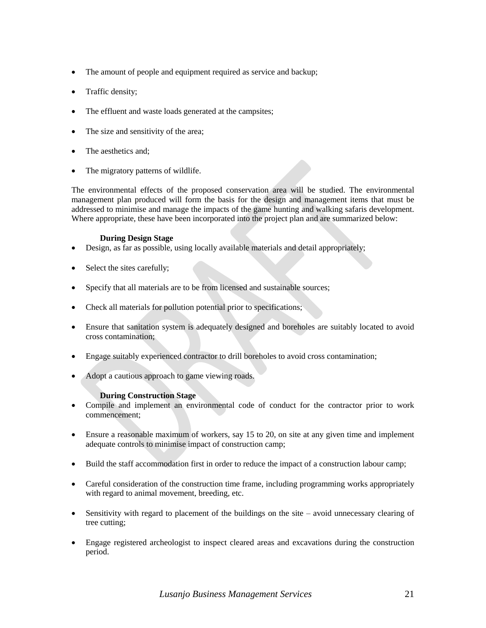- The amount of people and equipment required as service and backup;
- Traffic density;
- The effluent and waste loads generated at the campsites;
- The size and sensitivity of the area;
- The aesthetics and;
- The migratory patterns of wildlife.

The environmental effects of the proposed conservation area will be studied. The environmental management plan produced will form the basis for the design and management items that must be addressed to minimise and manage the impacts of the game hunting and walking safaris development. Where appropriate, these have been incorporated into the project plan and are summarized below:

## **During Design Stage**

- Design, as far as possible, using locally available materials and detail appropriately;
- Select the sites carefully;
- Specify that all materials are to be from licensed and sustainable sources;
- Check all materials for pollution potential prior to specifications;
- Ensure that sanitation system is adequately designed and boreholes are suitably located to avoid cross contamination;
- Engage suitably experienced contractor to drill boreholes to avoid cross contamination;
- Adopt a cautious approach to game viewing roads.

#### **During Construction Stage**

- Compile and implement an environmental code of conduct for the contractor prior to work commencement;
- Ensure a reasonable maximum of workers, say 15 to 20, on site at any given time and implement adequate controls to minimise impact of construction camp;
- Build the staff accommodation first in order to reduce the impact of a construction labour camp;
- Careful consideration of the construction time frame, including programming works appropriately with regard to animal movement, breeding, etc.
- Sensitivity with regard to placement of the buildings on the site avoid unnecessary clearing of tree cutting;
- Engage registered archeologist to inspect cleared areas and excavations during the construction period.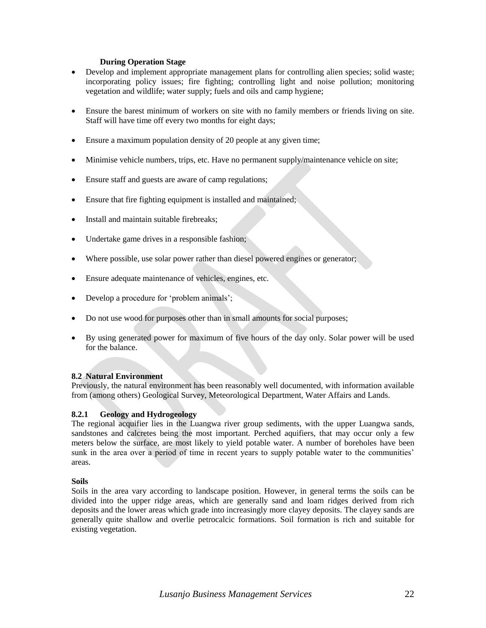#### **During Operation Stage**

- Develop and implement appropriate management plans for controlling alien species; solid waste; incorporating policy issues; fire fighting; controlling light and noise pollution; monitoring vegetation and wildlife; water supply; fuels and oils and camp hygiene;
- Ensure the barest minimum of workers on site with no family members or friends living on site. Staff will have time off every two months for eight days;
- Ensure a maximum population density of 20 people at any given time;
- Minimise vehicle numbers, trips, etc. Have no permanent supply/maintenance vehicle on site;
- Ensure staff and guests are aware of camp regulations;
- Ensure that fire fighting equipment is installed and maintained;
- Install and maintain suitable firebreaks;
- Undertake game drives in a responsible fashion;
- Where possible, use solar power rather than diesel powered engines or generator;
- Ensure adequate maintenance of vehicles, engines, etc.
- Develop a procedure for 'problem animals';
- Do not use wood for purposes other than in small amounts for social purposes;
- By using generated power for maximum of five hours of the day only. Solar power will be used for the balance.

#### **8.2 Natural Environment**

Previously, the natural environment has been reasonably well documented, with information available from (among others) Geological Survey, Meteorological Department, Water Affairs and Lands.

#### **8.2.1 Geology and Hydrogeology**

The regional acquifier lies in the Luangwa river group sediments, with the upper Luangwa sands, sandstones and calcretes being the most important. Perched aquifiers, that may occur only a few meters below the surface, are most likely to yield potable water. A number of boreholes have been sunk in the area over a period of time in recent years to supply potable water to the communities' areas.

#### **Soils**

Soils in the area vary according to landscape position. However, in general terms the soils can be divided into the upper ridge areas, which are generally sand and loam ridges derived from rich deposits and the lower areas which grade into increasingly more clayey deposits. The clayey sands are generally quite shallow and overlie petrocalcic formations. Soil formation is rich and suitable for existing vegetation.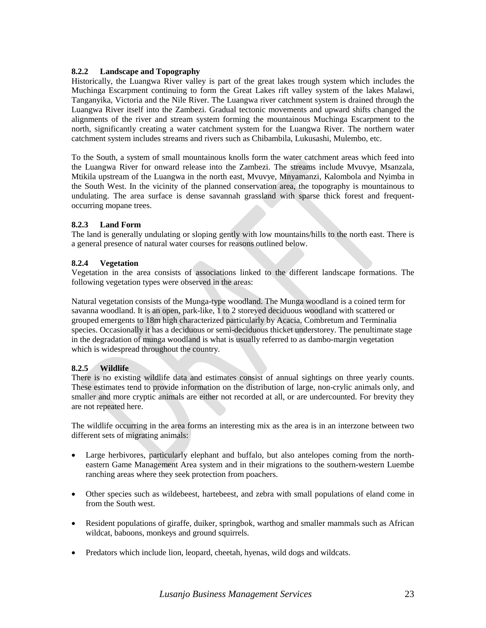## **8.2.2 Landscape and Topography**

Historically, the Luangwa River valley is part of the great lakes trough system which includes the Muchinga Escarpment continuing to form the Great Lakes rift valley system of the lakes Malawi, Tanganyika, Victoria and the Nile River. The Luangwa river catchment system is drained through the Luangwa River itself into the Zambezi. Gradual tectonic movements and upward shifts changed the alignments of the river and stream system forming the mountainous Muchinga Escarpment to the north, significantly creating a water catchment system for the Luangwa River. The northern water catchment system includes streams and rivers such as Chibambila, Lukusashi, Mulembo, etc.

To the South, a system of small mountainous knolls form the water catchment areas which feed into the Luangwa River for onward release into the Zambezi. The streams include Mvuvye, Msanzala, Mtikila upstream of the Luangwa in the north east, Mvuvye, Mnyamanzi, Kalombola and Nyimba in the South West. In the vicinity of the planned conservation area, the topography is mountainous to undulating. The area surface is dense savannah grassland with sparse thick forest and frequentoccurring mopane trees.

## **8.2.3 Land Form**

The land is generally undulating or sloping gently with low mountains/hills to the north east. There is a general presence of natural water courses for reasons outlined below.

## **8.2.4 Vegetation**

Vegetation in the area consists of associations linked to the different landscape formations. The following vegetation types were observed in the areas:

Natural vegetation consists of the Munga-type woodland. The Munga woodland is a coined term for savanna woodland. It is an open, park-like, 1 to 2 storeyed deciduous woodland with scattered or grouped emergents to 18m high characterized particularly by Acacia, Combretum and Terminalia species. Occasionally it has a deciduous or semi-deciduous thicket understorey. The penultimate stage in the degradation of munga woodland is what is usually referred to as dambo-margin vegetation which is widespread throughout the country.

## **8.2.5 Wildlife**

There is no existing wildlife data and estimates consist of annual sightings on three yearly counts. These estimates tend to provide information on the distribution of large, non-crylic animals only, and smaller and more cryptic animals are either not recorded at all, or are undercounted. For brevity they are not repeated here.

The wildlife occurring in the area forms an interesting mix as the area is in an interzone between two different sets of migrating animals:

- Large herbivores, particularly elephant and buffalo, but also antelopes coming from the northeastern Game Management Area system and in their migrations to the southern-western Luembe ranching areas where they seek protection from poachers.
- Other species such as wildebeest, hartebeest, and zebra with small populations of eland come in from the South west.
- Resident populations of giraffe, duiker, springbok, warthog and smaller mammals such as African wildcat, baboons, monkeys and ground squirrels.
- Predators which include lion, leopard, cheetah, hyenas, wild dogs and wildcats.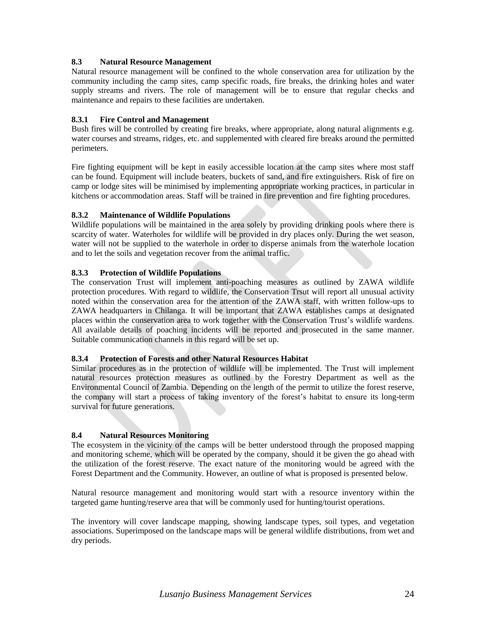## **8.3 Natural Resource Management**

Natural resource management will be confined to the whole conservation area for utilization by the community including the camp sites, camp specific roads, fire breaks, the drinking holes and water supply streams and rivers. The role of management will be to ensure that regular checks and maintenance and repairs to these facilities are undertaken.

#### **8.3.1 Fire Control and Management**

Bush fires will be controlled by creating fire breaks, where appropriate, along natural alignments e.g. water courses and streams, ridges, etc. and supplemented with cleared fire breaks around the permitted perimeters.

Fire fighting equipment will be kept in easily accessible location at the camp sites where most staff can be found. Equipment will include beaters, buckets of sand, and fire extinguishers. Risk of fire on camp or lodge sites will be minimised by implementing appropriate working practices, in particular in kitchens or accommodation areas. Staff will be trained in fire prevention and fire fighting procedures.

#### **8.3.2 Maintenance of Wildlife Populations**

Wildlife populations will be maintained in the area solely by providing drinking pools where there is scarcity of water. Waterholes for wildlife will be provided in dry places only. During the wet season, water will not be supplied to the waterhole in order to disperse animals from the waterhole location and to let the soils and vegetation recover from the animal traffic.

## **8.3.3 Protection of Wildlife Populations**

The conservation Trust will implement anti-poaching measures as outlined by ZAWA wildlife protection procedures. With regard to wildlife, the Conservation Trsut will report all unusual activity noted within the conservation area for the attention of the ZAWA staff, with written follow-ups to ZAWA headquarters in Chilanga. It will be important that ZAWA establishes camps at designated places within the conservation area to work together with the Conservation Trust's wildlife wardens. All available details of poaching incidents will be reported and prosecuted in the same manner. Suitable communication channels in this regard will be set up.

#### **8.3.4 Protection of Forests and other Natural Resources Habitat**

Similar procedures as in the protection of wildlife will be implemented. The Trust will implement natural resources protection measures as outlined by the Forestry Department as well as the Environmental Council of Zambia. Depending on the length of the permit to utilize the forest reserve, the company will start a process of taking inventory of the forest's habitat to ensure its long-term survival for future generations.

## **8.4 Natural Resources Monitoring**

The ecosystem in the vicinity of the camps will be better understood through the proposed mapping and monitoring scheme, which will be operated by the company, should it be given the go ahead with the utilization of the forest reserve. The exact nature of the monitoring would be agreed with the Forest Department and the Community. However, an outline of what is proposed is presented below.

Natural resource management and monitoring would start with a resource inventory within the targeted game hunting/reserve area that will be commonly used for hunting/tourist operations.

The inventory will cover landscape mapping, showing landscape types, soil types, and vegetation associations. Superimposed on the landscape maps will be general wildlife distributions, from wet and dry periods.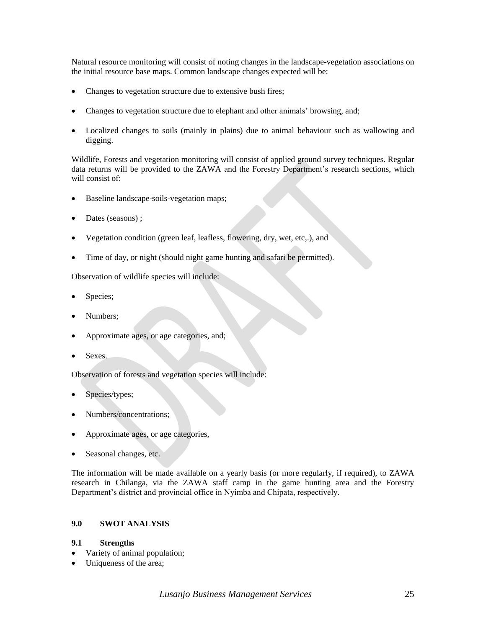Natural resource monitoring will consist of noting changes in the landscape-vegetation associations on the initial resource base maps. Common landscape changes expected will be:

- Changes to vegetation structure due to extensive bush fires;
- Changes to vegetation structure due to elephant and other animals' browsing, and;
- Localized changes to soils (mainly in plains) due to animal behaviour such as wallowing and digging.

Wildlife, Forests and vegetation monitoring will consist of applied ground survey techniques. Regular data returns will be provided to the ZAWA and the Forestry Department's research sections, which will consist of:

- Baseline landscape-soils-vegetation maps;
- Dates (seasons);
- Vegetation condition (green leaf, leafless, flowering, dry, wet, etc,.), and
- Time of day, or night (should night game hunting and safari be permitted).

Observation of wildlife species will include:

- Species;
- Numbers;
- Approximate ages, or age categories, and;
- Sexes.

Observation of forests and vegetation species will include:

- Species/types;
- Numbers/concentrations;
- Approximate ages, or age categories,
- Seasonal changes, etc.

The information will be made available on a yearly basis (or more regularly, if required), to ZAWA research in Chilanga, via the ZAWA staff camp in the game hunting area and the Forestry Department's district and provincial office in Nyimba and Chipata, respectively.

## **9.0 SWOT ANALYSIS**

#### **9.1 Strengths**

- Variety of animal population;
- Uniqueness of the area;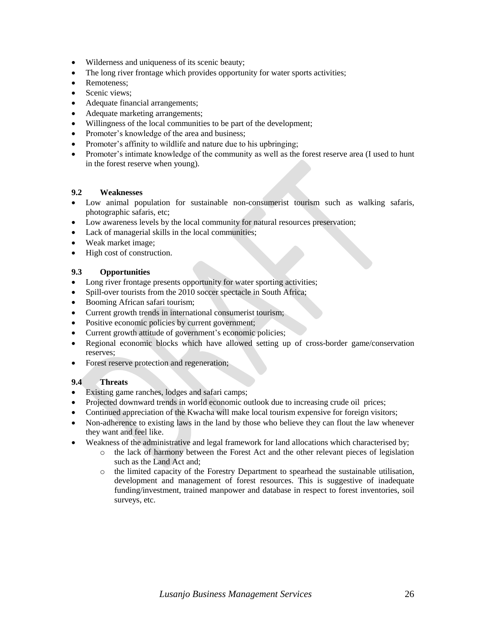- Wilderness and uniqueness of its scenic beauty;
- The long river frontage which provides opportunity for water sports activities;
- Remoteness:
- Scenic views:
- Adequate financial arrangements;
- Adequate marketing arrangements;
- Willingness of the local communities to be part of the development;
- Promoter's knowledge of the area and business;
- Promoter's affinity to wildlife and nature due to his upbringing;
- Promoter's intimate knowledge of the community as well as the forest reserve area (I used to hunt in the forest reserve when young).

## **9.2 Weaknesses**

- Low animal population for sustainable non-consumerist tourism such as walking safaris, photographic safaris, etc;
- Low awareness levels by the local community for natural resources preservation;
- Lack of managerial skills in the local communities;
- Weak market image;
- High cost of construction.

## **9.3 Opportunities**

- Long river frontage presents opportunity for water sporting activities;
- Spill-over tourists from the 2010 soccer spectacle in South Africa;
- Booming African safari tourism;
- Current growth trends in international consumerist tourism;
- Positive economic policies by current government;
- Current growth attitude of government's economic policies;
- Regional economic blocks which have allowed setting up of cross-border game/conservation reserves;
- Forest reserve protection and regeneration;

## **9.4 Threats**

- Existing game ranches, lodges and safari camps;
- Projected downward trends in world economic outlook due to increasing crude oil prices;
- Continued appreciation of the Kwacha will make local tourism expensive for foreign visitors;
- Non-adherence to existing laws in the land by those who believe they can flout the law whenever they want and feel like.
- Weakness of the administrative and legal framework for land allocations which characterised by;
	- o the lack of harmony between the Forest Act and the other relevant pieces of legislation such as the Land Act and;
		- o the limited capacity of the Forestry Department to spearhead the sustainable utilisation, development and management of forest resources. This is suggestive of inadequate funding/investment, trained manpower and database in respect to forest inventories, soil surveys, etc.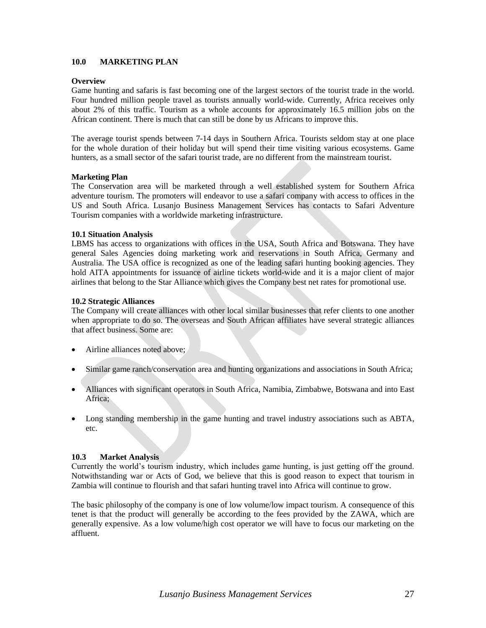#### **10.0 MARKETING PLAN**

#### **Overview**

Game hunting and safaris is fast becoming one of the largest sectors of the tourist trade in the world. Four hundred million people travel as tourists annually world-wide. Currently, Africa receives only about 2% of this traffic. Tourism as a whole accounts for approximately 16.5 million jobs on the African continent. There is much that can still be done by us Africans to improve this.

The average tourist spends between 7-14 days in Southern Africa. Tourists seldom stay at one place for the whole duration of their holiday but will spend their time visiting various ecosystems. Game hunters, as a small sector of the safari tourist trade, are no different from the mainstream tourist.

#### **Marketing Plan**

The Conservation area will be marketed through a well established system for Southern Africa adventure tourism. The promoters will endeavor to use a safari company with access to offices in the US and South Africa. Lusanjo Business Management Services has contacts to Safari Adventure Tourism companies with a worldwide marketing infrastructure.

#### **10.1 Situation Analysis**

LBMS has access to organizations with offices in the USA, South Africa and Botswana. They have general Sales Agencies doing marketing work and reservations in South Africa, Germany and Australia. The USA office is recognized as one of the leading safari hunting booking agencies. They hold AITA appointments for issuance of airline tickets world-wide and it is a major client of major airlines that belong to the Star Alliance which gives the Company best net rates for promotional use.

#### **10.2 Strategic Alliances**

The Company will create alliances with other local similar businesses that refer clients to one another when appropriate to do so. The overseas and South African affiliates have several strategic alliances that affect business. Some are:

- Airline alliances noted above;
- Similar game ranch/conservation area and hunting organizations and associations in South Africa;
- Alliances with significant operators in South Africa, Namibia, Zimbabwe, Botswana and into East Africa;
- Long standing membership in the game hunting and travel industry associations such as ABTA, etc.

#### **10.3 Market Analysis**

Currently the world's tourism industry, which includes game hunting, is just getting off the ground. Notwithstanding war or Acts of God, we believe that this is good reason to expect that tourism in Zambia will continue to flourish and that safari hunting travel into Africa will continue to grow.

The basic philosophy of the company is one of low volume/low impact tourism. A consequence of this tenet is that the product will generally be according to the fees provided by the ZAWA, which are generally expensive. As a low volume/high cost operator we will have to focus our marketing on the affluent.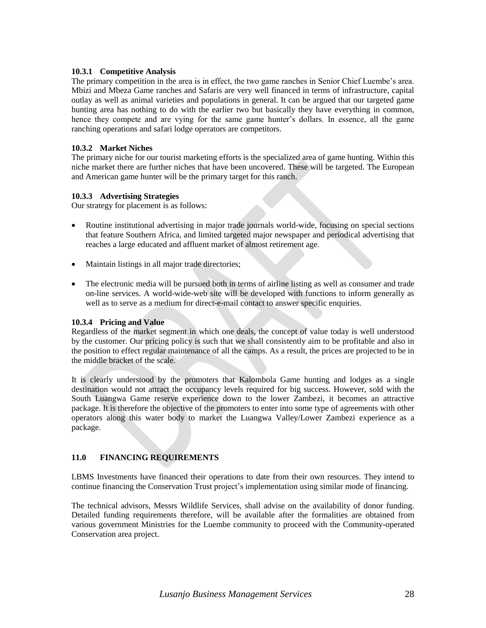#### **10.3.1 Competitive Analysis**

The primary competition in the area is in effect, the two game ranches in Senior Chief Luembe's area. Mbizi and Mbeza Game ranches and Safaris are very well financed in terms of infrastructure, capital outlay as well as animal varieties and populations in general. It can be argued that our targeted game hunting area has nothing to do with the earlier two but basically they have everything in common, hence they compete and are vying for the same game hunter's dollars. In essence, all the game ranching operations and safari lodge operators are competitors.

#### **10.3.2 Market Niches**

The primary niche for our tourist marketing efforts is the specialized area of game hunting. Within this niche market there are further niches that have been uncovered. These will be targeted. The European and American game hunter will be the primary target for this ranch.

#### **10.3.3 Advertising Strategies**

Our strategy for placement is as follows:

- Routine institutional advertising in major trade journals world-wide, focusing on special sections that feature Southern Africa, and limited targeted major newspaper and periodical advertising that reaches a large educated and affluent market of almost retirement age.
- Maintain listings in all major trade directories;
- The electronic media will be pursued both in terms of airline listing as well as consumer and trade on-line services. A world-wide-web site will be developed with functions to inform generally as well as to serve as a medium for direct-e-mail contact to answer specific enquiries.

#### **10.3.4 Pricing and Value**

Regardless of the market segment in which one deals, the concept of value today is well understood by the customer. Our pricing policy is such that we shall consistently aim to be profitable and also in the position to effect regular maintenance of all the camps. As a result, the prices are projected to be in the middle bracket of the scale.

It is clearly understood by the promoters that Kalombola Game hunting and lodges as a single destination would not attract the occupancy levels required for big success. However, sold with the South Luangwa Game reserve experience down to the lower Zambezi, it becomes an attractive package. It is therefore the objective of the promoters to enter into some type of agreements with other operators along this water body to market the Luangwa Valley/Lower Zambezi experience as a package.

## **11.0 FINANCING REQUIREMENTS**

LBMS Investments have financed their operations to date from their own resources. They intend to continue financing the Conservation Trust project's implementation using similar mode of financing.

The technical advisors, Messrs Wildlife Services, shall advise on the availability of donor funding. Detailed funding requirements therefore, will be available after the formalities are obtained from various government Ministries for the Luembe community to proceed with the Community-operated Conservation area project.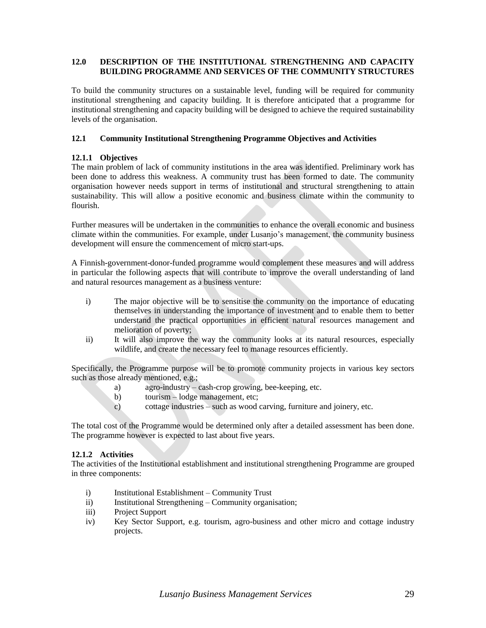## **12.0 DESCRIPTION OF THE INSTITUTIONAL STRENGTHENING AND CAPACITY BUILDING PROGRAMME AND SERVICES OF THE COMMUNITY STRUCTURES**

To build the community structures on a sustainable level, funding will be required for community institutional strengthening and capacity building. It is therefore anticipated that a programme for institutional strengthening and capacity building will be designed to achieve the required sustainability levels of the organisation.

#### **12.1 Community Institutional Strengthening Programme Objectives and Activities**

## **12.1.1 Objectives**

The main problem of lack of community institutions in the area was identified. Preliminary work has been done to address this weakness. A community trust has been formed to date. The community organisation however needs support in terms of institutional and structural strengthening to attain sustainability. This will allow a positive economic and business climate within the community to flourish.

Further measures will be undertaken in the communities to enhance the overall economic and business climate within the communities. For example, under Lusanjo's management, the community business development will ensure the commencement of micro start-ups.

A Finnish-government-donor-funded programme would complement these measures and will address in particular the following aspects that will contribute to improve the overall understanding of land and natural resources management as a business venture:

- i) The major objective will be to sensitise the community on the importance of educating themselves in understanding the importance of investment and to enable them to better understand the practical opportunities in efficient natural resources management and melioration of poverty;
- ii) It will also improve the way the community looks at its natural resources, especially wildlife, and create the necessary feel to manage resources efficiently.

Specifically, the Programme purpose will be to promote community projects in various key sectors such as those already mentioned, e.g.;

- a) agro-industry cash-crop growing, bee-keeping, etc.
- b) tourism lodge management, etc;
- c) cottage industries such as wood carving, furniture and joinery, etc.

The total cost of the Programme would be determined only after a detailed assessment has been done. The programme however is expected to last about five years.

## **12.1.2 Activities**

The activities of the Institutional establishment and institutional strengthening Programme are grouped in three components:

- i) Institutional Establishment Community Trust
- ii) Institutional Strengthening Community organisation;
- iii) Project Support
- iv) Key Sector Support, e.g. tourism, agro-business and other micro and cottage industry projects.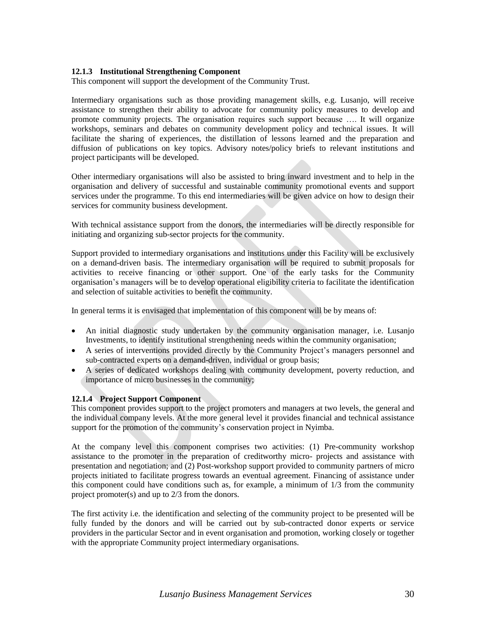#### **12.1.3 Institutional Strengthening Component**

This component will support the development of the Community Trust.

Intermediary organisations such as those providing management skills, e.g. Lusanjo, will receive assistance to strengthen their ability to advocate for community policy measures to develop and promote community projects. The organisation requires such support because …. It will organize workshops, seminars and debates on community development policy and technical issues. It will facilitate the sharing of experiences, the distillation of lessons learned and the preparation and diffusion of publications on key topics. Advisory notes/policy briefs to relevant institutions and project participants will be developed.

Other intermediary organisations will also be assisted to bring inward investment and to help in the organisation and delivery of successful and sustainable community promotional events and support services under the programme. To this end intermediaries will be given advice on how to design their services for community business development.

With technical assistance support from the donors, the intermediaries will be directly responsible for initiating and organizing sub-sector projects for the community.

Support provided to intermediary organisations and institutions under this Facility will be exclusively on a demand-driven basis. The intermediary organisation will be required to submit proposals for activities to receive financing or other support. One of the early tasks for the Community organisation's managers will be to develop operational eligibility criteria to facilitate the identification and selection of suitable activities to benefit the community.

In general terms it is envisaged that implementation of this component will be by means of:

- An initial diagnostic study undertaken by the community organisation manager, i.e. Lusanjo Investments, to identify institutional strengthening needs within the community organisation;
- A series of interventions provided directly by the Community Project's managers personnel and sub-contracted experts on a demand-driven, individual or group basis;
- A series of dedicated workshops dealing with community development, poverty reduction, and importance of micro businesses in the community;

## **12.1.4 Project Support Component**

This component provides support to the project promoters and managers at two levels, the general and the individual company levels. At the more general level it provides financial and technical assistance support for the promotion of the community's conservation project in Nyimba.

At the company level this component comprises two activities: (1) Pre-community workshop assistance to the promoter in the preparation of creditworthy micro- projects and assistance with presentation and negotiation; and (2) Post-workshop support provided to community partners of micro projects initiated to facilitate progress towards an eventual agreement. Financing of assistance under this component could have conditions such as, for example, a minimum of 1/3 from the community project promoter(s) and up to 2/3 from the donors.

The first activity i.e. the identification and selecting of the community project to be presented will be fully funded by the donors and will be carried out by sub-contracted donor experts or service providers in the particular Sector and in event organisation and promotion, working closely or together with the appropriate Community project intermediary organisations.